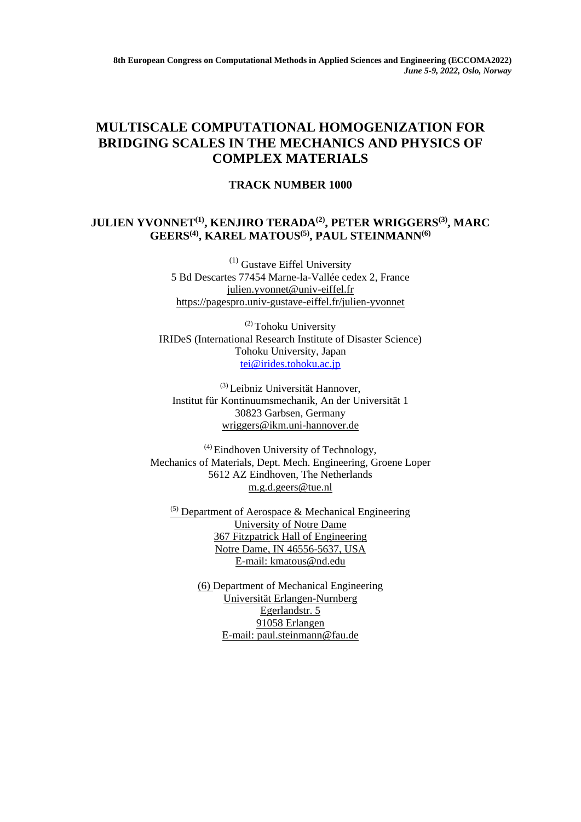## **MULTISCALE COMPUTATIONAL HOMOGENIZATION FOR BRIDGING SCALES IN THE MECHANICS AND PHYSICS OF COMPLEX MATERIALS**

## **TRACK NUMBER 1000**

## **JULIEN YVONNET(1), KENJIRO TERADA(2), PETER WRIGGERS(3), MARC GEERS(4), KAREL MATOUS(5), PAUL STEINMANN(6)**

 $(1)$  Gustave Eiffel University 5 Bd Descartes 77454 Marne-la-Vallée cedex 2, France [julien.yvonnet@univ-eiffel.fr](mailto:julien.yvonnet@univ-eiffel.fr) <https://pagespro.univ-gustave-eiffel.fr/julien-yvonnet>

(2) Tohoku University IRIDeS (International Research Institute of Disaster Science) Tohoku University, Japan [tei@irides.tohoku.ac.jp](mailto:tei@irides.tohoku.ac.jp)

(3) Leibniz Universität Hannover, Institut für Kontinuumsmechanik, An der Universität 1 30823 Garbsen, Germany [wriggers@ikm.uni-hannover.de](javascript:linkTo_UnCryptMailto()

(4) Eindhoven University of Technology, Mechanics of Materials, Dept. Mech. Engineering, Groene Loper 5612 AZ Eindhoven, The Netherlands [m.g.d.geers@tue.nl](mailto:m.g.d.geers@tue.nl)

 $(5)$  Department of Aerospace & Mechanical Engineering University of Notre Dame 367 Fitzpatrick Hall of Engineering Notre Dame, IN 46556-5637, USA E-mail: [kmatous@nd.edu](mailto:kmatous@nd.edu)

> (6) Department of Mechanical Engineering Universität Erlangen-Nurnberg Egerlandstr. 5 91058 Erlangen E-mail: [paul.steinmann@fau.de](mailto:paul.steinmann@fau.de)